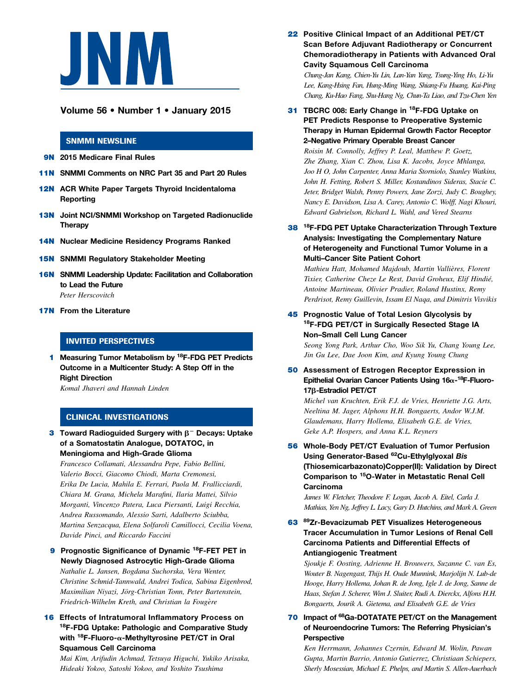

# Volume 56 • Number 1 • January 2015

#### SNMMI NEWSLINE

**9N** 2015 Medicare Final Rules

- 11N SNMMI Comments on NRC Part 35 and Part 20 Rules
- 12N ACR White Paper Targets Thyroid Incidentaloma Reporting
- **13N** Joint NCI/SNMMI Workshop on Targeted Radionuclide **Therapy**
- **14N** Nuclear Medicine Residency Programs Ranked
- **15N SNMMI Regulatory Stakeholder Meeting**
- 16N SNMMI Leadership Update: Facilitation and Collaboration to Lead the Future Peter Herscovitch
- **17N** From the Literature

# INVITED PERSPECTIVES

1 Measuring Tumor Metabolism by <sup>18</sup>F-FDG PET Predicts Outcome in a Multicenter Study: A Step Off in the **Right Direction** 

Komal Jhaveri and Hannah Linden

### CLINICAL INVESTIGATIONS

**3** Toward Radioguided Surgery with  $\beta$ <sup>-</sup> Decays: Uptake of a Somatostatin Analogue, DOTATOC, in Meningioma and High-Grade Glioma

Francesco Collamati, Alessandra Pepe, Fabio Bellini, Valerio Bocci, Giacomo Chiodi, Marta Cremonesi, Erika De Lucia, Mahila E. Ferrari, Paola M. Frallicciardi, Chiara M. Grana, Michela Marafini, Ilaria Mattei, Silvio Morganti, Vincenzo Patera, Luca Piersanti, Luigi Recchia, Andrea Russomando, Alessio Sarti, Adalberto Sciubba, Martina Senzacqua, Elena Solfaroli Camillocci, Cecilia Voena, Davide Pinci, and Riccardo Faccini

9 Prognostic Significance of Dynamic <sup>18</sup>F-FET PET in Newly Diagnosed Astrocytic High-Grade Glioma Nathalie L. Jansen, Bogdana Suchorska, Vera Wenter, Christine Schmid-Tannwald, Andrei Todica, Sabina Eigenbrod, Maximilian Niyazi, Jörg-Christian Tonn, Peter Bartenstein, Friedrich-Wilhelm Kreth, and Christian la Fougère

### 16 Effects of Intratumoral Inflammatory Process on <sup>18</sup>F-FDG Uptake: Pathologic and Comparative Study with  $^{18}$ F-Fluoro- $\alpha$ -Methyltyrosine PET/CT in Oral Squamous Cell Carcinoma

Mai Kim, Arifudin Achmad, Tetsuya Higuchi, Yukiko Arisaka, Hideaki Yokoo, Satoshi Yokoo, and Yoshito Tsushima

22 Positive Clinical Impact of an Additional PET/CT Scan Before Adjuvant Radiotherapy or Concurrent Chemoradiotherapy in Patients with Advanced Oral Cavity Squamous Cell Carcinoma

Chung-Jan Kang, Chien-Yu Lin, Lan-Yan Yang, Tsung-Ying Ho, Li-Yu Lee, Kang-Hsing Fan, Hung-Ming Wang, Shiang-Fu Huang, Kai-Ping Chang, Ku-Hao Fang, Shu-Hang Ng, Chun-Ta Liao, and Tzu-Chen Yen

31 TBCRC 008: Early Change in <sup>18</sup>F-FDG Uptake on PET Predicts Response to Preoperative Systemic Therapy in Human Epidermal Growth Factor Receptor 2–Negative Primary Operable Breast Cancer

Roisin M. Connolly, Jeffrey P. Leal, Matthew P. Goetz, Zhe Zhang, Xian C. Zhou, Lisa K. Jacobs, Joyce Mhlanga, Joo H O, John Carpenter, Anna Maria Storniolo, Stanley Watkins, John H. Fetting, Robert S. Miller, Kostandinos Sideras, Stacie C. Jeter, Bridget Walsh, Penny Powers, Jane Zorzi, Judy C. Boughey, Nancy E. Davidson, Lisa A. Carey, Antonio C. Wolff, Nagi Khouri, Edward Gabrielson, Richard L. Wahl, and Vered Stearns

38 <sup>18</sup>F-FDG PET Uptake Characterization Through Texture Analysis: Investigating the Complementary Nature of Heterogeneity and Functional Tumor Volume in a Multi–Cancer Site Patient Cohort

Mathieu Hatt, Mohamed Majdoub, Martin Vallieres, Florent ` Tixier, Catherine Cheze Le Rest, David Groheux, Elif Hindié, Antoine Martineau, Olivier Pradier, Roland Hustinx, Remy Perdrisot, Remy Guillevin, Issam El Naqa, and Dimitris Visvikis

45 Prognostic Value of Total Lesion Glycolysis by 18F-FDG PET/CT in Surgically Resected Stage IA Non–Small Cell Lung Cancer

Seong Yong Park, Arthur Cho, Woo Sik Yu, Chang Young Lee, Jin Gu Lee, Dae Joon Kim, and Kyung Young Chung

50 Assessment of Estrogen Receptor Expression in Epithelial Ovarian Cancer Patients Using 16α-<sup>18</sup>F-Fluoro-17β-Estradiol PET/CT

Michel van Kruchten, Erik F.J. de Vries, Henriette J.G. Arts, Neeltina M. Jager, Alphons H.H. Bongaerts, Andor W.J.M. Glaudemans, Harry Hollema, Elisabeth G.E. de Vries, Geke A.P. Hospers, and Anna K.L. Reyners

56 Whole-Body PET/CT Evaluation of Tumor Perfusion Using Generator-Based 62Cu-Ethylglyoxal Bis (Thiosemicarbazonato)Copper(II): Validation by Direct Comparison to 15O-Water in Metastatic Renal Cell Carcinoma

James W. Fletcher, Theodore F. Logan, Jacob A. Eitel, Carla J. Mathias, Yen Ng, Jeffrey L. Lacy, Gary D. Hutchins, and Mark A. Green

63 89Zr-Bevacizumab PET Visualizes Heterogeneous Tracer Accumulation in Tumor Lesions of Renal Cell Carcinoma Patients and Differential Effects of Antiangiogenic Treatment

Sjoukje F. Oosting, Adrienne H. Brouwers, Suzanne C. van Es, Wouter B. Nagengast, Thijs H. Oude Munnink, Marjolijn N. Lub-de Hooge, Harry Hollema, Johan R. de Jong, Igle J. de Jong, Sanne de Haas, Stefan J. Scherer, Wim J. Sluiter, Rudi A. Dierckx, Alfons H.H. Bongaerts, Jourik A. Gietema, and Elisabeth G.E. de Vries

# 70 Impact of <sup>68</sup>Ga-DOTATATE PET/CT on the Management of Neuroendocrine Tumors: The Referring Physician's Perspective

Ken Herrmann, Johannes Czernin, Edward M. Wolin, Pawan Gupta, Martin Barrio, Antonio Gutierrez, Christiaan Schiepers, Sherly Mosessian, Michael E. Phelps, and Martin S. Allen-Auerbach